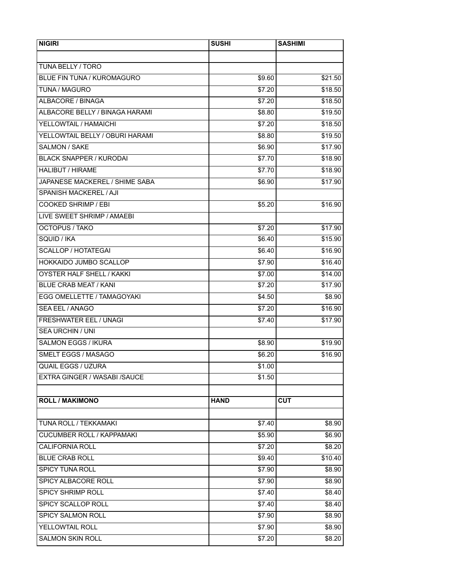| <b>NIGIRI</b>                    | <b>SUSHI</b>       | <b>SASHIMI</b> |
|----------------------------------|--------------------|----------------|
|                                  |                    |                |
| TUNA BELLY / TORO                |                    |                |
| BLUE FIN TUNA / KUROMAGURO       | \$9.60             | \$21.50        |
| TUNA / MAGURO                    | $\overline{$}7.20$ | \$18.50        |
| ALBACORE / BINAGA                | \$7.20             | \$18.50        |
| ALBACORE BELLY / BINAGA HARAMI   | \$8.80             | \$19.50        |
| YELLOWTAIL / HAMAICHI            | \$7.20             | \$18.50        |
| YELLOWTAIL BELLY / OBURI HARAMI  | \$8.80             | \$19.50        |
| SALMON / SAKE                    | \$6.90             | \$17.90        |
| <b>BLACK SNAPPER / KURODAI</b>   | \$7.70             | \$18.90        |
| <b>HALIBUT / HIRAME</b>          | \$7.70             | \$18.90        |
| JAPANESE MACKEREL / SHIME SABA   | \$6.90             | \$17.90        |
| SPANISH MACKEREL / AJI           |                    |                |
| <b>COOKED SHRIMP / EBI</b>       | \$5.20             | \$16.90        |
| LIVE SWEET SHRIMP / AMAEBI       |                    |                |
| <b>OCTOPUS / TAKO</b>            | \$7.20             | \$17.90        |
| SQUID / IKA                      | \$6.40             | \$15.90        |
| SCALLOP / HOTATEGAI              | \$6.40             | \$16.90        |
| HOKKAIDO JUMBO SCALLOP           | \$7.90             | \$16.40        |
| OYSTER HALF SHELL / KAKKI        | \$7.00             | \$14.00        |
| <b>BLUE CRAB MEAT / KANI</b>     | \$7.20             | \$17.90        |
| EGG OMELLETTE / TAMAGOYAKI       | \$4.50             | \$8.90         |
| SEA EEL / ANAGO                  | \$7.20             | \$16.90        |
| FRESHWATER EEL / UNAGI           | \$7.40             | \$17.90        |
| <b>SEA URCHIN / UNI</b>          |                    |                |
| <b>SALMON EGGS / IKURA</b>       | \$8.90             | \$19.90        |
| SMELT EGGS / MASAGO              | \$6.20             | \$16.90        |
| <b>QUAIL EGGS / UZURA</b>        | \$1.00             |                |
| EXTRA GINGER / WASABI /SAUCE     | \$1.50             |                |
|                                  |                    |                |
| <b>ROLL / MAKIMONO</b>           | <b>HAND</b>        | <b>CUT</b>     |
|                                  |                    |                |
| TUNA ROLL / TEKKAMAKI            | \$7.40             | \$8.90         |
| <b>CUCUMBER ROLL / KAPPAMAKI</b> | \$5.90             | \$6.90         |
| CALIFORNIA ROLL                  | \$7.20             | \$8.20         |
| <b>BLUE CRAB ROLL</b>            | \$9.40             | \$10.40        |
| SPICY TUNA ROLL                  | \$7.90             | \$8.90         |
| SPICY ALBACORE ROLL              | \$7.90             | \$8.90         |
| SPICY SHRIMP ROLL                | \$7.40             | \$8.40         |
| SPICY SCALLOP ROLL               | \$7.40             | \$8.40         |
| SPICY SALMON ROLL                | \$7.90             | \$8.90         |
| YELLOWTAIL ROLL                  | \$7.90             | \$8.90         |
| <b>SALMON SKIN ROLL</b>          | \$7.20             | \$8.20         |